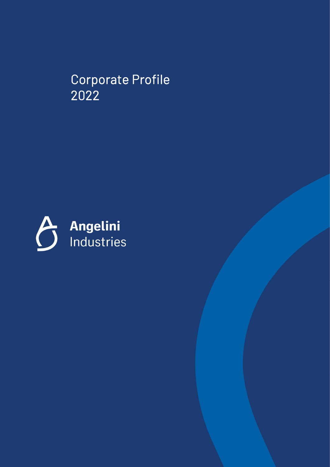Corporate Profile 2022

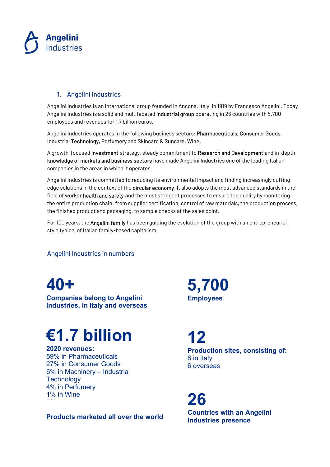

#### 1. Angelini Industries

Angelini Industries is an international group founded in Ancona, Italy, in 1919 by Francesco Angelini. Today Angelini Industries is a solid and multifaceted industrial group operating in 26 countries with 5.700 employees and revenues for 1,7 billion euros.

Angelini Industries operates in the following business sectors: Pharmaceuticals, Consumer Goods, Industrial Technology, Perfumery and Skincare & Suncare, Wine.

A growth-focused investment strategy, steady commitment to Research and Development and in-depth knowledge of markets and business sectors have made Angelini Industries one of the leading Italian companies in the areas in which it operates.

Angelini Industries is committed to reducing its environmental impact and finding increasingly cuttingedge solutions in the context of the **circular economy**. It also adopts the most advanced standards in the field of worker health and safety and the most stringent processes to ensure top quality by monitoring the entire production chain: from supplier certification, control of raw materials, the production process, the finished product and packaging, to sample checks at the sales point.

For 100 years, the **Angelini family** has been quiding the evolution of the group with an entrepreneurial style typical of Italian family-based capitalism.

#### Angelini Industries in numbers

## 40+

Companies belong to Angelini Industries, in Italy and overseas

# €1.7 billion

2020 revenues: 59% in Pharmaceuticals 27% in Consumer Goods 6% in Machinery – Industrial **Technology** 4% in Perfumery 1% in Wine

### Products marketed all over the world<br>Industries presence

5,700 **Employees** 

12 Production sites, consisting of: 6 in Italy 6 overseas

26 Countries with an Angelini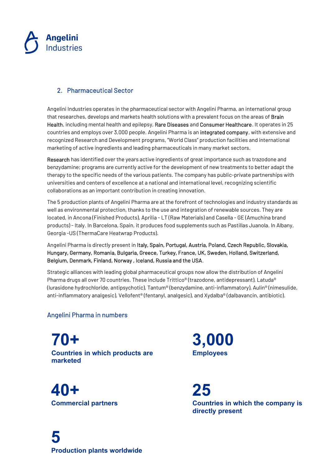

#### 2. Pharmaceutical Sector

Angelini Industries operates in the pharmaceutical sector with Angelini Pharma, an international group that researches, develops and markets health solutions with a prevalent focus on the areas of Brain Health, including mental health and epilepsy, Rare Diseases and Consumer Healthcare. It operates in 25 countries and employs over 3,000 people. Angelini Pharma is an integrated company, with extensive and recognized Research and Development programs, "World Class" production facilities and international marketing of active ingredients and leading pharmaceuticals in many market sectors.

Research has identified over the years active ingredients of great importance such as trazodone and benzydamine; programs are currently active for the development of new treatments to better adapt the therapy to the specific needs of the various patients. The company has public-private partnerships with universities and centers of excellence at a national and international level, recognizing scientific collaborations as an important contribution in creating innovation.

The 5 production plants of Angelini Pharma are at the forefront of technologies and industry standards as well as environmental protection, thanks to the use and integration of renewable sources. They are located, in Ancona (Finished Products), Aprilia - LT (Raw Materials) and Casella - GE (Amuchina brand products) - Italy. In Barcelona, Spain, it produces food supplements such as Pastillas Juanola. In Albany, Georgia -US (ThermaCare Heatwrap Products).

Angelini Pharma is directly present in Italy, Spain, Portugal, Austria, Poland, Czech Republic, Slovakia, Hungary, Germany, Romania, Bulgaria, Greece, Turkey, France, UK, Sweden, Holland, Switzerland, Belgium, Denmark, Finland, Norway , Iceland, Russia and the USA.

Strategic alliances with leading global pharmaceutical groups now allow the distribution of Angelini Pharma drugs all over 70 countries. These include Trittico® (trazodone, antidepressant), Latuda® (lurasidone hydrochloride, antipsychotic), Tantum® (benzydamine, anti-inflammatory), Aulin® (nimesulide, anti-inflammatory analgesic), Vellofent® (fentanyl, analgesic), and Xydalba® (dalbavancin, antibiotic).

#### Angelini Pharma in numbers

70+ Countries in which products are marketed

40+ Commercial partners 3,000 **Employees** 

25 Countries in which the company is directly present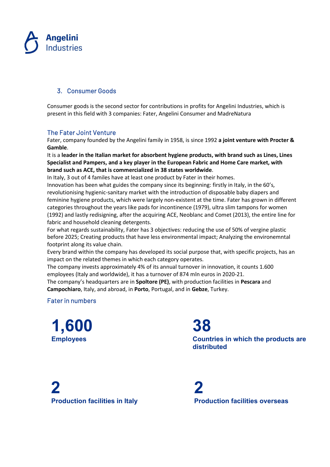

#### 3. Consumer Goods

Consumer goods is the second sector for contributions in profits for Angelini Industries, which is present in this field with 3 companies: Fater, Angelini Consumer and MadreNatura

#### The Fater Joint Venture

Fater, company founded by the Angelini family in 1958, is since 1992 a joint venture with Procter & Gamble.

It is a leader in the Italian market for absorbent hygiene products, with brand such as Lines, Lines Specialist and Pampers, and a key player in the European Fabric and Home Care market, with brand such as ACE, that is commercialized in 38 states worldwide.

In Italy, 3 out of 4 familes have at least one product by Fater in their homes.

Innovation has been what guides the company since its beginning: firstly in Italy, in the 60's, revolutionising hygienic-sanitary market with the introduction of disposable baby diapers and feminine hygiene products, which were largely non-existent at the time. Fater has grown in different categories throughout the years like pads for incontinence (1979), ultra slim tampons for women (1992) and lastly redisigning, after the acquiring ACE, Neoblanc and Comet (2013), the entire line for fabric and household cleaning detergents.

For what regards sustainability, Fater has 3 objectives: reducing the use of 50% of vergine plastic before 2025; Creating products that have less environmental impact; Analyzing the environemntal footprint along its value chain.

Every brand within the company has developed its social purpose that, with specific projects, has an impact on the related themes in which each category operates.

The company invests approximately 4% of its annual turnover in innovation, it counts 1.600 employees (Italy and worldwide), it has a turnover of 874 mln euros in 2020-21.

The company's headquarters are in Spoltore (PE), with production facilities in Pescara and Campochiaro, Italy, and abroad, in Porto, Portugal, and in Gebze, Turkey.

#### Fater in numbers

1,600 Employees

38 Countries in which the products are distributed

2 Production facilities in Italy

2 Production facilities overseas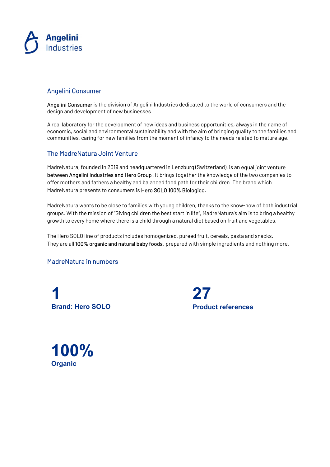

#### Angelini Consumer

Angelini Consumer is the division of Angelini Industries dedicated to the world of consumers and the design and development of new businesses.

A real laboratory for the development of new ideas and business opportunities, always in the name of economic, social and environmental sustainability and with the aim of bringing quality to the families and communities, caring for new families from the moment of infancy to the needs related to mature age.

#### The MadreNatura Joint Venture

MadreNatura, founded in 2019 and headquartered in Lenzburg (Switzerland), is an equal joint venture between Angelini Industries and Hero Group. It brings together the knowledge of the two companies to offer mothers and fathers a healthy and balanced food path for their children. The brand which MadreNatura presents to consumers is Hero SOLO 100% Biologico.

MadreNatura wants to be close to families with young children, thanks to the know-how of both industrial groups. With the mission of "Giving children the best start in life", MadreNatura's aim is to bring a healthy growth to every home where there is a child through a natural diet based on fruit and vegetables.

The Hero SOLO line of products includes homogenized, pureed fruit, cereals, pasta and snacks. They are all 100% organic and natural baby foods, prepared with simple ingredients and nothing more.

#### MadreNatura in numbers

1 Brand: Hero SOLO

27 Product references

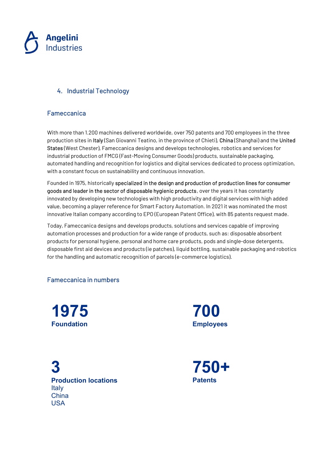

#### 4. Industrial Technology

#### Fameccanica

With more than 1.200 machines delivered worldwide, over 750 patents and 700 employees in the three production sites in Italy (San Giovanni Teatino, in the province of Chieti), China (Shanghai) and the United States (West Chester), Fameccanica designs and develops technologies, robotics and services for industrial production of FMCG (Fast-Moving Consumer Goods) products, sustainable packaging, automated handling and recognition for logistics and digital services dedicated to process optimization, with a constant focus on sustainability and continuous innovation.

Founded in 1975, historically specialized in the design and production of production lines for consumer goods and leader in the sector of disposable hygienic products, over the years it has constantly innovated by developing new technologies with high productivity and digital services with high added value, becoming a player reference for Smart Factory Automation. In 2021 it was nominated the most innovative Italian company according to EPO (European Patent Office), with 85 patents request made.

Today, Fameccanica designs and develops products, solutions and services capable of improving automation processes and production for a wide range of products, such as: disposable absorbent products for personal hygiene, personal and home care products, pods and single-dose detergents, disposable first aid devices and products (ie patches), liquid bottling, sustainable packaging and robotics for the handling and automatic recognition of parcels (e-commerce logistics).

#### Fameccanica in numbers

1975 Foundation

700 **Employees** 

3 Production locations Italy **China** USA

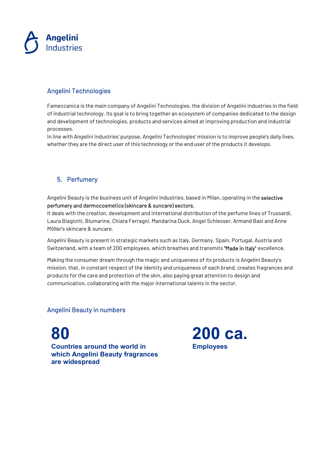

#### Angelini Technologies

Fameccanica is the main company of Angelini Technologies, the division of Angelini Industries in the field of industrial technology. Its goal is to bring together an ecosystem of companies dedicated to the design and development of technologies, products and services aimed at improving production and industrial processes.

In line with Angelini Industries' purpose, Angelini Technologies' mission is to improve people's daily lives, whether they are the direct user of this technology or the end user of the products it develops.

#### 5. Perfumery

Angelini Beauty is the business unit of Angelini Industries, based in Milan, operating in the selective perfumery and dermocosmetics (skincare & suncare) sectors.

It deals with the creation, development and international distribution of the perfume lines of Trussardi, Laura Biagiotti, Blumarine, Chiara Ferragni, Mandarina Duck, Angel Schlesser, Armand Basi and Anne Möller's skincare & suncare.

Angelini Beauty is present in strategic markets such as Italy, Germany, Spain, Portugal, Austria and Switzerland, with a team of 200 employees, which breathes and transmits "Made in Italy" excellence.

Making the consumer dream through the magic and uniqueness of its products is Angelini Beauty's mission, that, in constant respect of the identity and uniqueness of each brand, creates fragrances and products for the care and protection of the skin, also paying great attention to design and communication, collaborating with the major international talents in the sector.

#### Angelini Beauty in numbers

80 Countries around the world in which Angelini Beauty fragrances are widespread